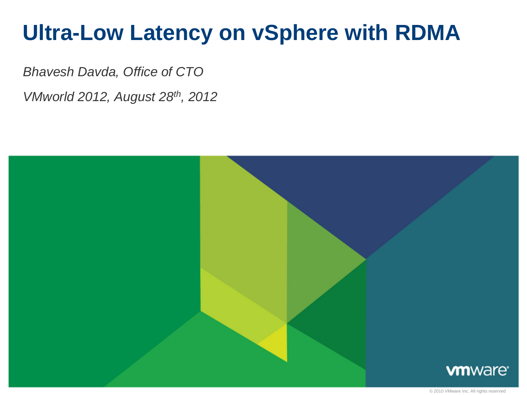# **Ultra-Low Latency on vSphere with RDMA**

*Bhavesh Davda, Office of CTO*

*VMworld 2012, August 28th, 2012*

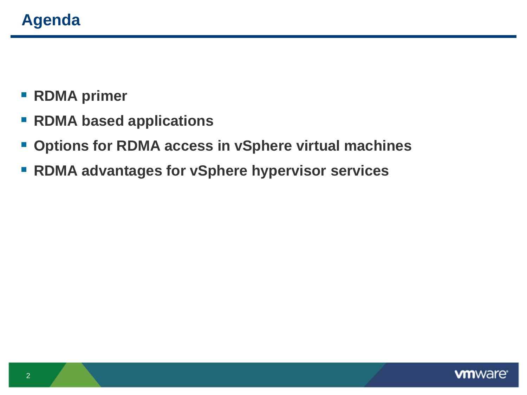- **RDMA primer**
- **RDMA based applications**
- **Options for RDMA access in vSphere virtual machines**
- **RDMA advantages for vSphere hypervisor services**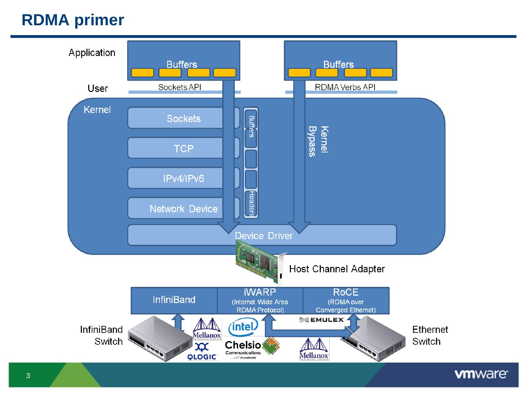## **RDMA primer**

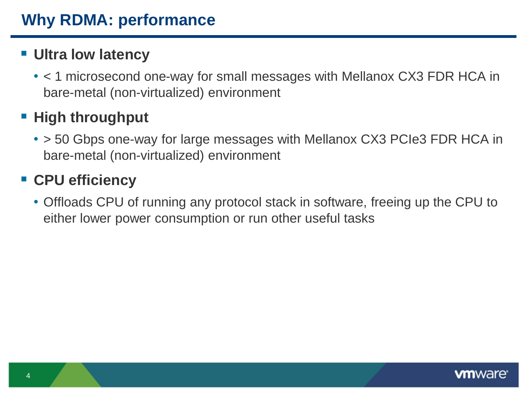## **Ultra low latency**

• < 1 microsecond one-way for small messages with Mellanox CX3 FDR HCA in bare-metal (non-virtualized) environment

## **High throughput**

• > 50 Gbps one-way for large messages with Mellanox CX3 PCIe3 FDR HCA in bare-metal (non-virtualized) environment

# **CPU efficiency**

• Offloads CPU of running any protocol stack in software, freeing up the CPU to either lower power consumption or run other useful tasks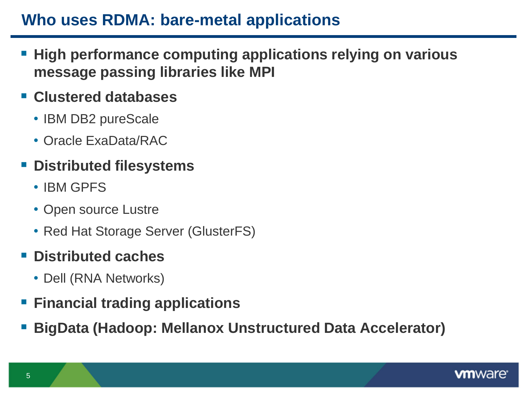## **Who uses RDMA: bare-metal applications**

- **High performance computing applications relying on various message passing libraries like MPI**
- **Clustered databases**
	- IBM DB2 pureScale
	- Oracle ExaData/RAC
- **Distributed filesystems**
	- IBM GPFS
	- Open source Lustre
	- Red Hat Storage Server (GlusterFS)

#### **Distributed caches**

- Dell (RNA Networks)
- **Financial trading applications**
- **BigData (Hadoop: Mellanox Unstructured Data Accelerator)**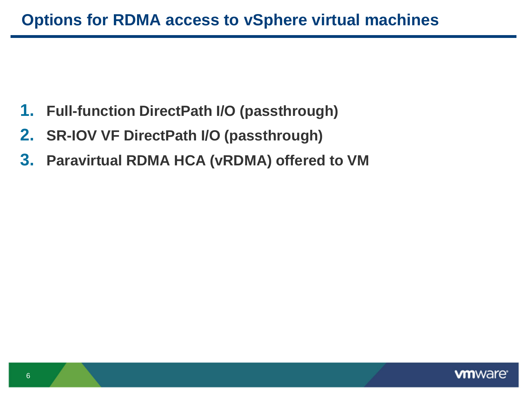- **1. Full-function DirectPath I/O (passthrough)**
- **2. SR-IOV VF DirectPath I/O (passthrough)**
- **3. Paravirtual RDMA HCA (vRDMA) offered to VM**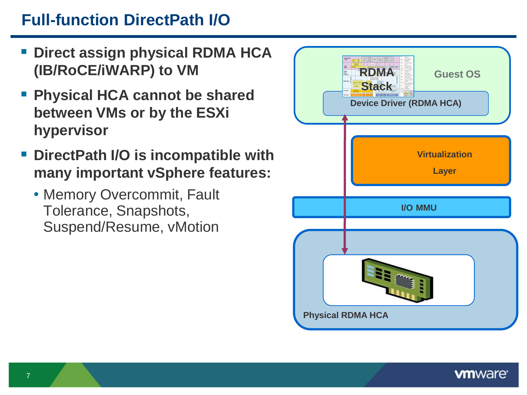# **Full-function DirectPath I/O**

- **Direct assign physical RDMA HCA (IB/RoCE/iWARP) to VM**
- **Physical HCA cannot be shared between VMs or by the ESXi hypervisor**
- **DirectPath I/O is incompatible with many important vSphere features:**
	- Memory Overcommit, Fault Tolerance, Snapshots, Suspend/Resume, vMotion

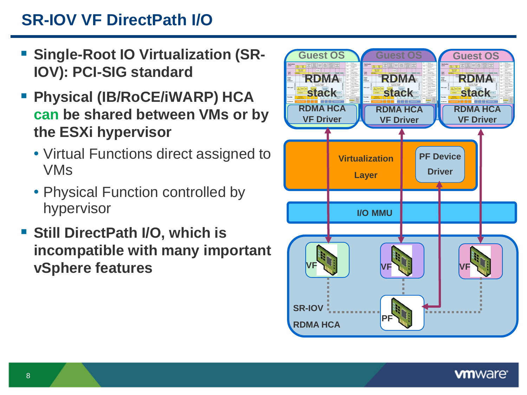# **SR-IOV VF DirectPath I/O**

- **E** Single-Root IO Virtualization (SR-**IOV): PCI-SIG standard**
- **Physical (IB/RoCE/iWARP) HCA can be shared between VMs or by the ESXi hypervisor**
	- Virtual Functions direct assigned to VMs
	- Physical Function controlled by hypervisor
- **F** Still DirectPath I/O, which is **incompatible with many important vSphere features**

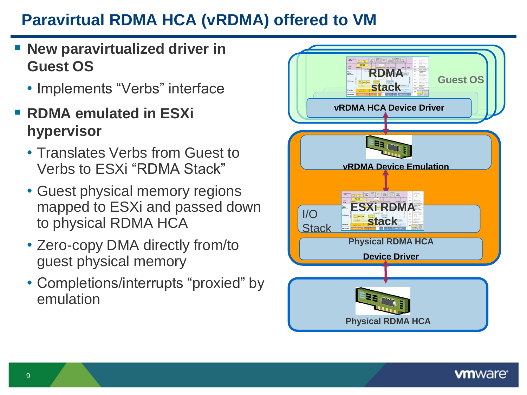# **Paravirtual RDMA HCA (vRDMA) offered to VM**

- **New paravirtualized driver in Guest OS**
	- Implements "Verbs" interface
- **RDMA emulated in ESXi hypervisor**
	- Translates Verbs from Guest to Verbs to ESXi "RDMA Stack"
	- Guest physical memory regions mapped to ESXi and passed down to physical RDMA HCA
	- Zero-copy DMA directly from/to guest physical memory
	- Completions/interrupts "proxied" by emulation

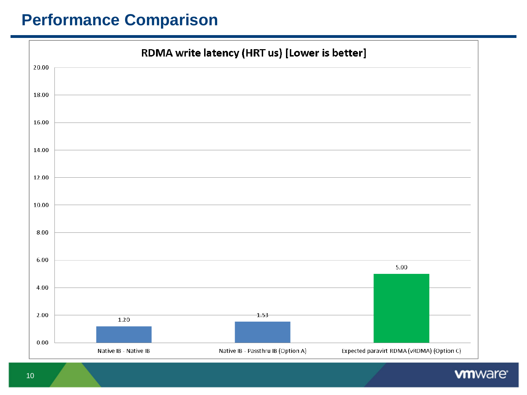#### **Performance Comparison**



**vm**ware<sup>®</sup>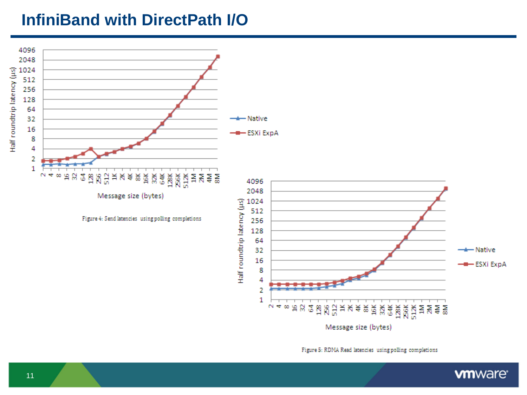#### **InfiniBand with DirectPath I/O**



Figure 5: RDMA Read latencies using polling completions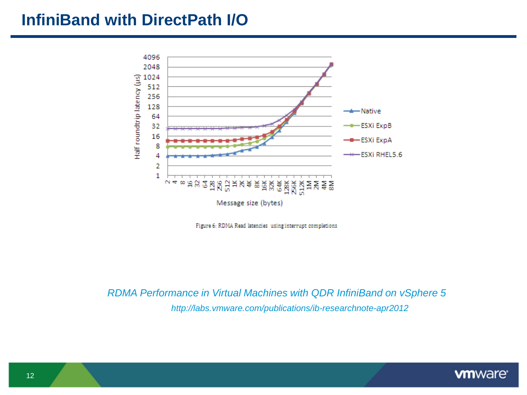#### **InfiniBand with DirectPath I/O**





*RDMA Performance in Virtual Machines with QDR InfiniBand on vSphere 5 http://labs.vmware.com/publications/ib-researchnote-apr2012*

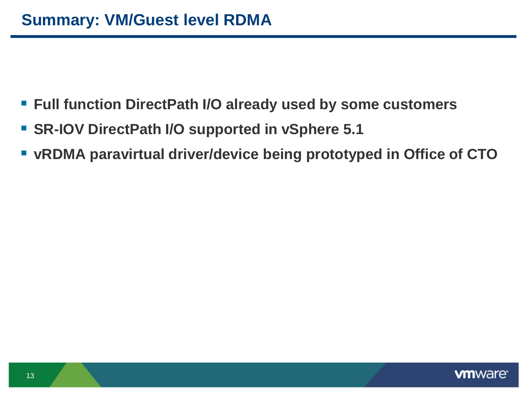- **Full function DirectPath I/O already used by some customers**
- **SR-IOV DirectPath I/O supported in vSphere 5.1**
- **vRDMA paravirtual driver/device being prototyped in Office of CTO**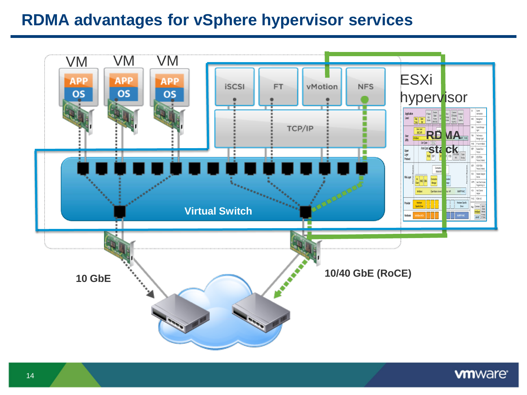## **RDMA advantages for vSphere hypervisor services**

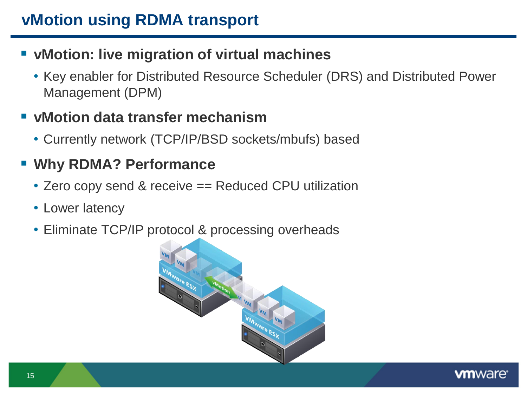## **vMotion: live migration of virtual machines**

• Key enabler for Distributed Resource Scheduler (DRS) and Distributed Power Management (DPM)

#### **vMotion data transfer mechanism**

• Currently network (TCP/IP/BSD sockets/mbufs) based

## **Why RDMA? Performance**

- Zero copy send & receive == Reduced CPU utilization
- Lower latency
- Eliminate TCP/IP protocol & processing overheads



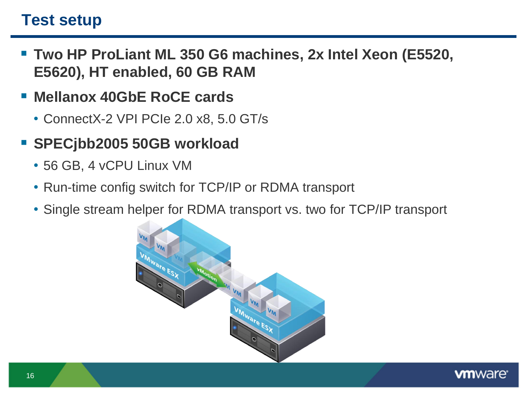#### **Test setup**

- **Two HP ProLiant ML 350 G6 machines, 2x Intel Xeon (E5520, E5620), HT enabled, 60 GB RAM**
- **Mellanox 40GbE RoCE cards**
	- ConnectX-2 VPI PCIe 2.0 x8, 5.0 GT/s
- **SPECjbb2005 50GB workload** 
	- 56 GB, 4 vCPU Linux VM
	- Run-time config switch for TCP/IP or RDMA transport
	- Single stream helper for RDMA transport vs. two for TCP/IP transport



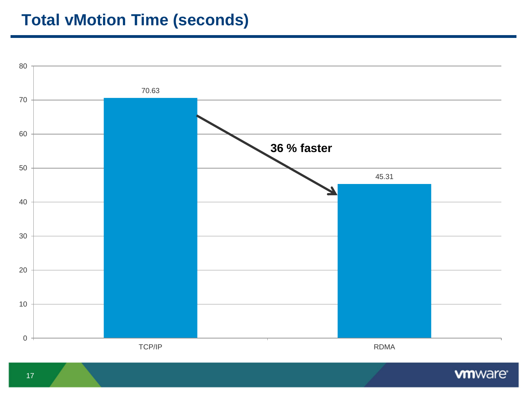## **Total vMotion Time (seconds)**



**vm**ware<sup>®</sup>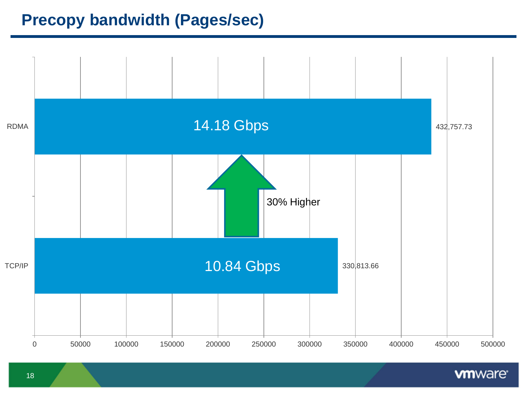## **Precopy bandwidth (Pages/sec)**



**vm**ware<sup>®</sup>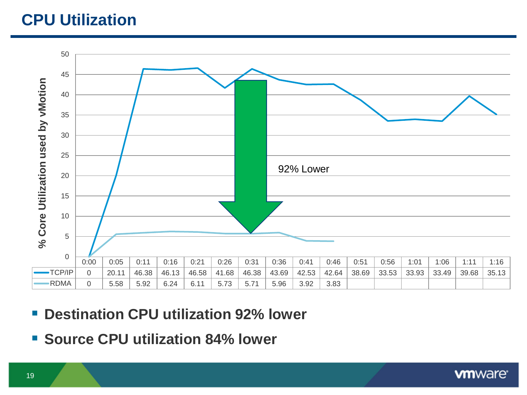## **CPU Utilization**



- **Destination CPU utilization 92% lower**
- **Source CPU utilization 84% lower**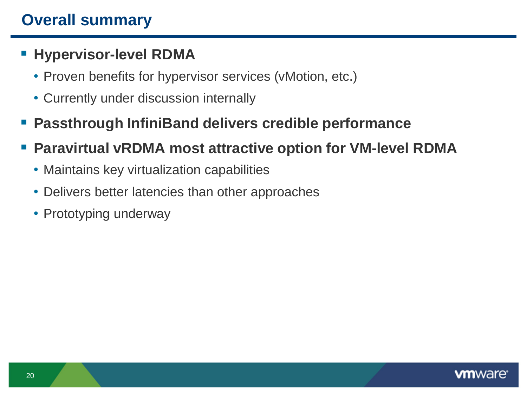## **Overall summary**

### **Hypervisor-level RDMA**

- Proven benefits for hypervisor services (vMotion, etc.)
- Currently under discussion internally
- **Passthrough InfiniBand delivers credible performance**
- **Paravirtual vRDMA most attractive option for VM-level RDMA**
	- Maintains key virtualization capabilities
	- Delivers better latencies than other approaches
	- Prototyping underway